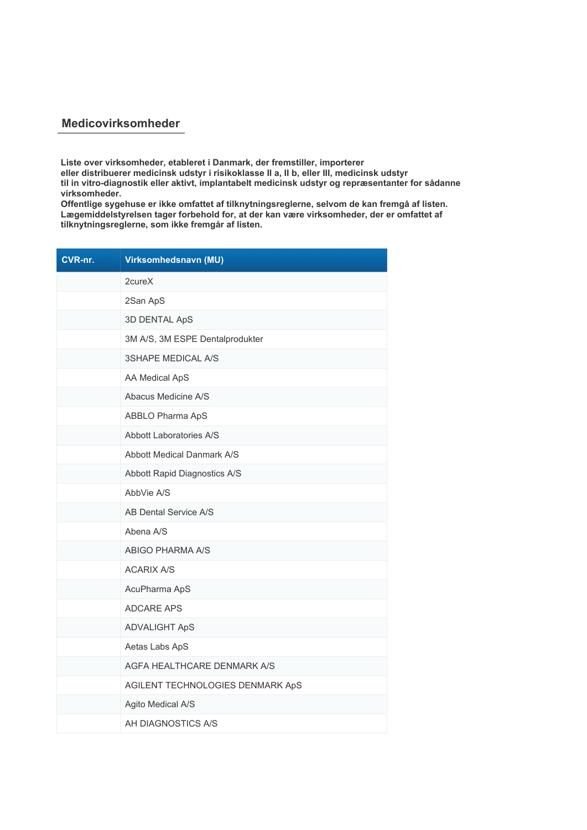## **Medicovirksomheder**

**Liste over virksomheder, etableret i Danmark, der fremstiller, importerer eller distribuerer medicinsk udstyr i risikoklasse II a, II b, eller III, medicinsk udstyr til in vitro-diagnostik eller aktivt, implantabelt medicinsk udstyr og repræsentanter for sådanne virksomheder.**

**Offentlige sygehuse er ikke omfattet af tilknytningsreglerne, selvom de kan fremgå af listen. Lægemiddelstyrelsen tager forbehold for, at der kan være virksomheder, der er omfattet af tilknytningsreglerne, som ikke fremgår af listen.**

| CVR-nr. | Virksomhedsnavn (MU)              |
|---------|-----------------------------------|
|         | 2cureX                            |
|         | 2San ApS                          |
|         | 3D DENTAL ApS                     |
|         | 3M A/S, 3M ESPE Dentalprodukter   |
|         | <b>3SHAPE MEDICAL A/S</b>         |
|         | AA Medical ApS                    |
|         | Abacus Medicine A/S               |
|         | ABBLO Pharma ApS                  |
|         | Abbott Laboratories A/S           |
|         | <b>Abbott Medical Danmark A/S</b> |
|         | Abbott Rapid Diagnostics A/S      |
|         | AbbVie A/S                        |
|         | AB Dental Service A/S             |
|         | Abena A/S                         |
|         | ABIGO PHARMA A/S                  |
|         | <b>ACARIX A/S</b>                 |
|         | AcuPharma ApS                     |
|         | <b>ADCARE APS</b>                 |
|         | <b>ADVALIGHT ApS</b>              |
|         | Aetas Labs ApS                    |
|         | AGFA HEALTHCARE DENMARK A/S       |
|         | AGILENT TECHNOLOGIES DENMARK ApS  |
|         | Agito Medical A/S                 |
|         | AH DIAGNOSTICS A/S                |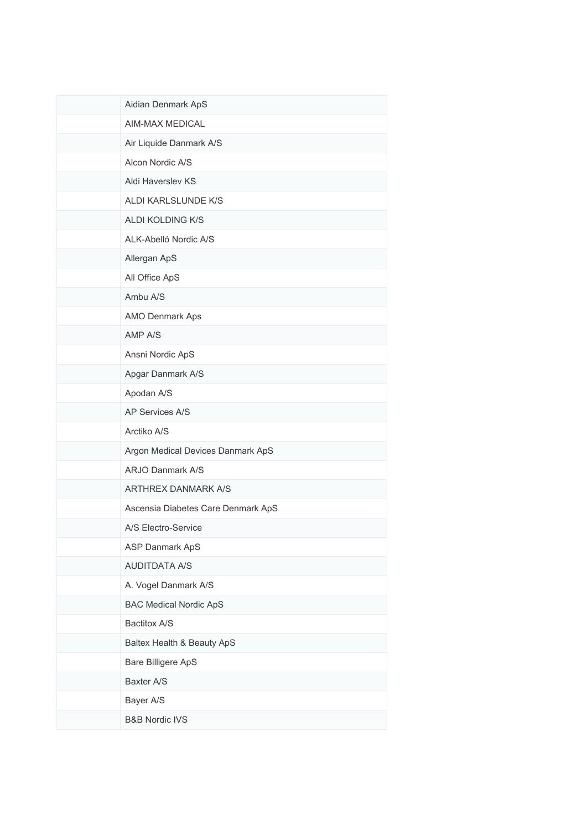| Aidian Denmark ApS                 |
|------------------------------------|
| AIM-MAX MEDICAL                    |
| Air Liquide Danmark A/S            |
| Alcon Nordic A/S                   |
| Aldi Haverslev KS                  |
| ALDI KARLSLUNDE K/S                |
| ALDI KOLDING K/S                   |
| ALK-Abelló Nordic A/S              |
| Allergan ApS                       |
| All Office ApS                     |
| Ambu A/S                           |
| AMO Denmark Aps                    |
| AMP A/S                            |
| Ansni Nordic ApS                   |
| Apgar Danmark A/S                  |
| Apodan A/S                         |
| AP Services A/S                    |
| Arctiko A/S                        |
| Argon Medical Devices Danmark ApS  |
| <b>ARJO Danmark A/S</b>            |
| <b>ARTHREX DANMARK A/S</b>         |
| Ascensia Diabetes Care Denmark ApS |
| A/S Electro-Service                |
| ASP Danmark ApS                    |
| <b>AUDITDATA A/S</b>               |
| A. Vogel Danmark A/S               |
| <b>BAC Medical Nordic ApS</b>      |
| Bactitox A/S                       |
| Baltex Health & Beauty ApS         |
| Bare Billigere ApS                 |
| Baxter A/S                         |
| Bayer A/S                          |
| <b>B&amp;B Nordic IVS</b>          |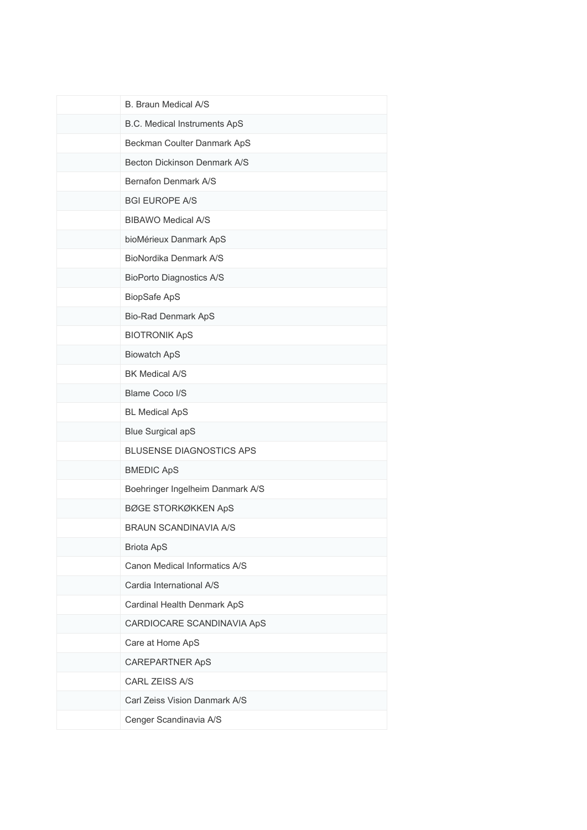| <b>B. Braun Medical A/S</b>         |
|-------------------------------------|
| <b>B.C. Medical Instruments ApS</b> |
| Beckman Coulter Danmark ApS         |
| Becton Dickinson Denmark A/S        |
| Bernafon Denmark A/S                |
| <b>BGI EUROPE A/S</b>               |
| <b>BIBAWO Medical A/S</b>           |
| bioMérieux Danmark ApS              |
| BioNordika Denmark A/S              |
| <b>BioPorto Diagnostics A/S</b>     |
| BiopSafe ApS                        |
| <b>Bio-Rad Denmark ApS</b>          |
| <b>BIOTRONIK ApS</b>                |
| <b>Biowatch ApS</b>                 |
| <b>BK Medical A/S</b>               |
| <b>Blame Coco I/S</b>               |
| <b>BL Medical ApS</b>               |
| <b>Blue Surgical apS</b>            |
| <b>BLUSENSE DIAGNOSTICS APS</b>     |
| <b>BMEDIC ApS</b>                   |
| Boehringer Ingelheim Danmark A/S    |
| <b>BØGE STORKØKKEN ApS</b>          |
| <b>BRAUN SCANDINAVIA A/S</b>        |
| <b>Briota ApS</b>                   |
| Canon Medical Informatics A/S       |
| Cardia International A/S            |
| Cardinal Health Denmark ApS         |
| CARDIOCARE SCANDINAVIA ApS          |
| Care at Home ApS                    |
| <b>CAREPARTNER ApS</b>              |
| CARL ZEISS A/S                      |
| Carl Zeiss Vision Danmark A/S       |
| Cenger Scandinavia A/S              |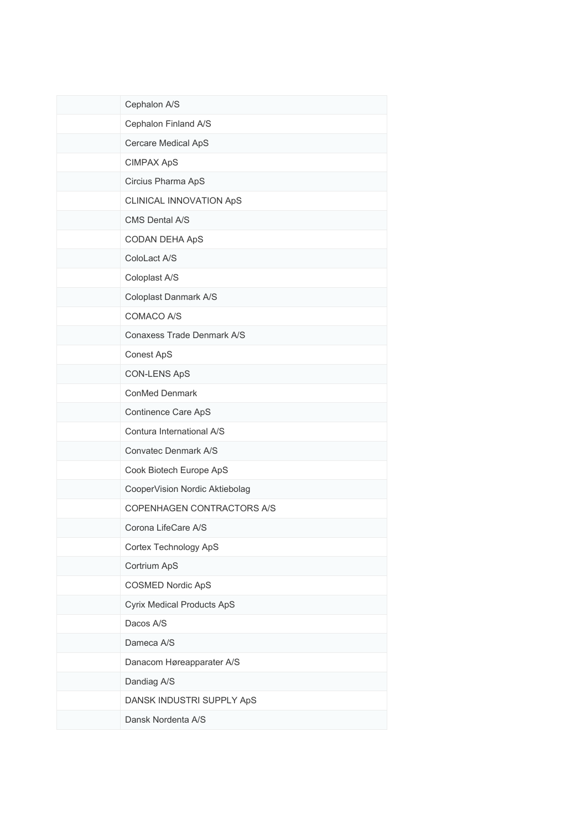| Cephalon A/S                      |
|-----------------------------------|
| Cephalon Finland A/S              |
| Cercare Medical ApS               |
| <b>CIMPAX ApS</b>                 |
| Circius Pharma ApS                |
| CLINICAL INNOVATION ApS           |
| CMS Dental A/S                    |
| CODAN DEHA ApS                    |
| ColoLact A/S                      |
| Coloplast A/S                     |
| Coloplast Danmark A/S             |
| COMACO A/S                        |
| Conaxess Trade Denmark A/S        |
| Conest ApS                        |
| <b>CON-LENS ApS</b>               |
| ConMed Denmark                    |
| Continence Care ApS               |
| Contura International A/S         |
| Convatec Denmark A/S              |
| Cook Biotech Europe ApS           |
| CooperVision Nordic Aktiebolag    |
| COPENHAGEN CONTRACTORS A/S        |
| Corona LifeCare A/S               |
| Cortex Technology ApS             |
| Cortrium ApS                      |
| <b>COSMED Nordic ApS</b>          |
| <b>Cyrix Medical Products ApS</b> |
| Dacos A/S                         |
| Dameca A/S                        |
| Danacom Høreapparater A/S         |
| Dandiag A/S                       |
| DANSK INDUSTRI SUPPLY ApS         |
| Dansk Nordenta A/S                |
|                                   |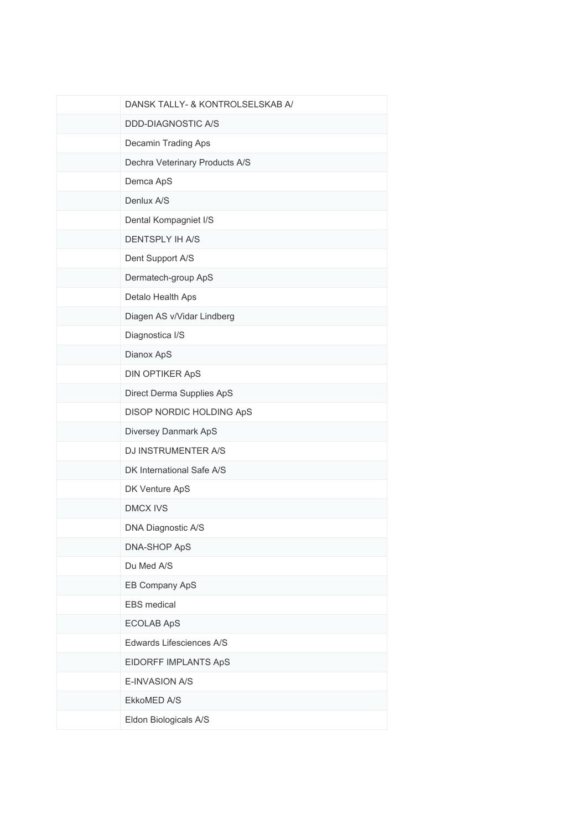| DANSK TALLY- & KONTROLSELSKAB A/ |
|----------------------------------|
| <b>DDD-DIAGNOSTIC A/S</b>        |
| Decamin Trading Aps              |
| Dechra Veterinary Products A/S   |
| Demca ApS                        |
| Denlux A/S                       |
| Dental Kompagniet I/S            |
| <b>DENTSPLY IH A/S</b>           |
| Dent Support A/S                 |
| Dermatech-group ApS              |
| Detalo Health Aps                |
| Diagen AS v/Vidar Lindberg       |
| Diagnostica I/S                  |
| Dianox ApS                       |
| <b>DIN OPTIKER ApS</b>           |
| Direct Derma Supplies ApS        |
| DISOP NORDIC HOLDING ApS         |
| Diversey Danmark ApS             |
| DJ INSTRUMENTER A/S              |
| DK International Safe A/S        |
| DK Venture ApS                   |
| <b>DMCX IVS</b>                  |
| DNA Diagnostic A/S               |
| DNA-SHOP ApS                     |
| Du Med A/S                       |
| EB Company ApS                   |
| EBS medical                      |
| <b>ECOLAB ApS</b>                |
| Edwards Lifesciences A/S         |
| EIDORFF IMPLANTS ApS             |
| E-INVASION A/S                   |
| EkkoMED A/S                      |
| Eldon Biologicals A/S            |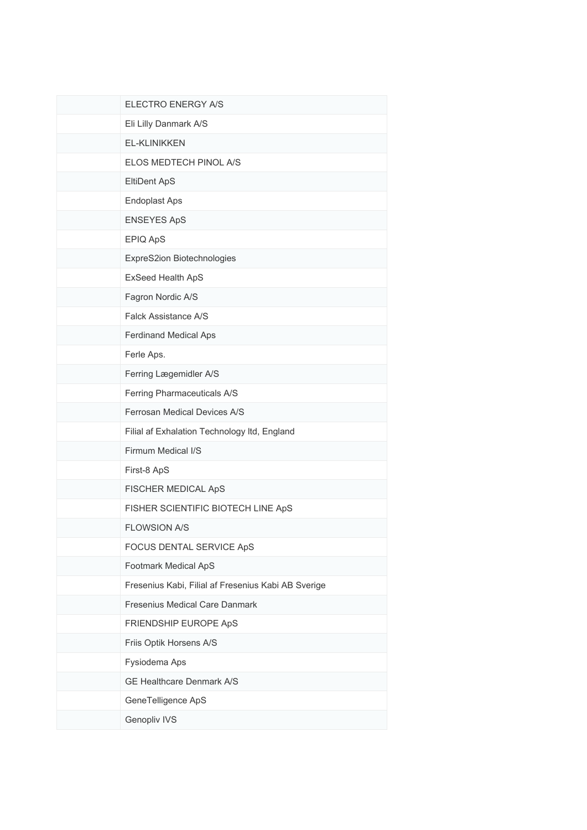| ELECTRO ENERGY A/S                                  |
|-----------------------------------------------------|
| Eli Lilly Danmark A/S                               |
| <b>EL-KLINIKKEN</b>                                 |
| ELOS MEDTECH PINOL A/S                              |
| EltiDent ApS                                        |
| <b>Endoplast Aps</b>                                |
| <b>ENSEYES ApS</b>                                  |
| EPIQ ApS                                            |
| ExpreS2ion Biotechnologies                          |
| ExSeed Health ApS                                   |
| Fagron Nordic A/S                                   |
| Falck Assistance A/S                                |
| Ferdinand Medical Aps                               |
| Ferle Aps.                                          |
| Ferring Lægemidler A/S                              |
| Ferring Pharmaceuticals A/S                         |
| Ferrosan Medical Devices A/S                        |
| Filial af Exhalation Technology Itd, England        |
| Firmum Medical I/S                                  |
| First-8 ApS                                         |
| FISCHER MEDICAL ApS                                 |
| FISHER SCIENTIFIC BIOTECH LINE ApS                  |
| <b>FLOWSION A/S</b>                                 |
| FOCUS DENTAL SERVICE ApS                            |
| Footmark Medical ApS                                |
| Fresenius Kabi, Filial af Fresenius Kabi AB Sverige |
| Fresenius Medical Care Danmark                      |
| FRIENDSHIP EUROPE ApS                               |
| Friis Optik Horsens A/S                             |
| Fysiodema Aps                                       |
| GE Healthcare Denmark A/S                           |
| GeneTelligence ApS                                  |
| Genopliv IVS                                        |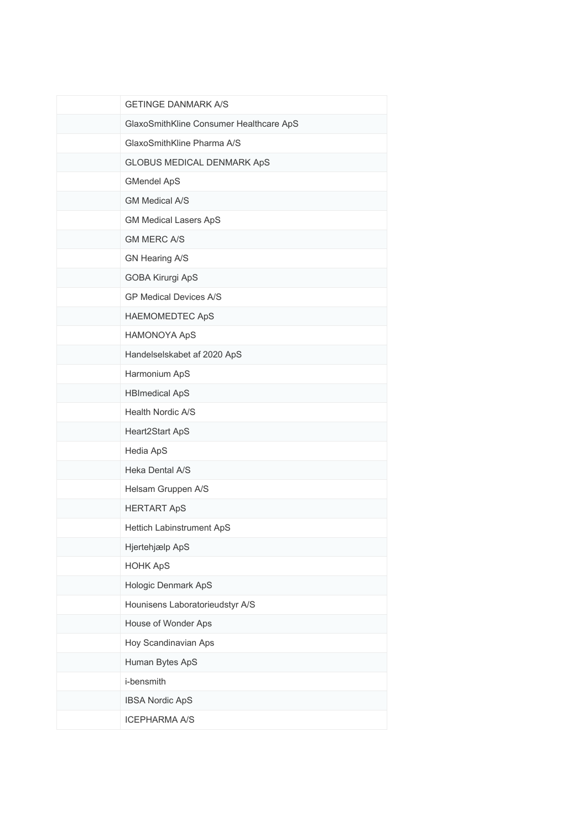| <b>GETINGE DANMARK A/S</b>              |
|-----------------------------------------|
| GlaxoSmithKline Consumer Healthcare ApS |
| GlaxoSmithKline Pharma A/S              |
| <b>GLOBUS MEDICAL DENMARK ApS</b>       |
| <b>GMendel ApS</b>                      |
| <b>GM Medical A/S</b>                   |
| <b>GM Medical Lasers ApS</b>            |
| <b>GM MERC A/S</b>                      |
| GN Hearing A/S                          |
| GOBA Kirurgi ApS                        |
| <b>GP Medical Devices A/S</b>           |
| <b>HAEMOMEDTEC ApS</b>                  |
| <b>HAMONOYA ApS</b>                     |
| Handelselskabet af 2020 ApS             |
| Harmonium ApS                           |
| <b>HBImedical ApS</b>                   |
| Health Nordic A/S                       |
| Heart2Start ApS                         |
| Hedia ApS                               |
| Heka Dental A/S                         |
| Helsam Gruppen A/S                      |
| <b>HERTART ApS</b>                      |
| Hettich Labinstrument ApS               |
| Hjertehjælp ApS                         |
| <b>HOHK ApS</b>                         |
| Hologic Denmark ApS                     |
| Hounisens Laboratorieudstyr A/S         |
| House of Wonder Aps                     |
| Hoy Scandinavian Aps                    |
| Human Bytes ApS                         |
| i-bensmith                              |
| <b>IBSA Nordic ApS</b>                  |
| <b>ICEPHARMA A/S</b>                    |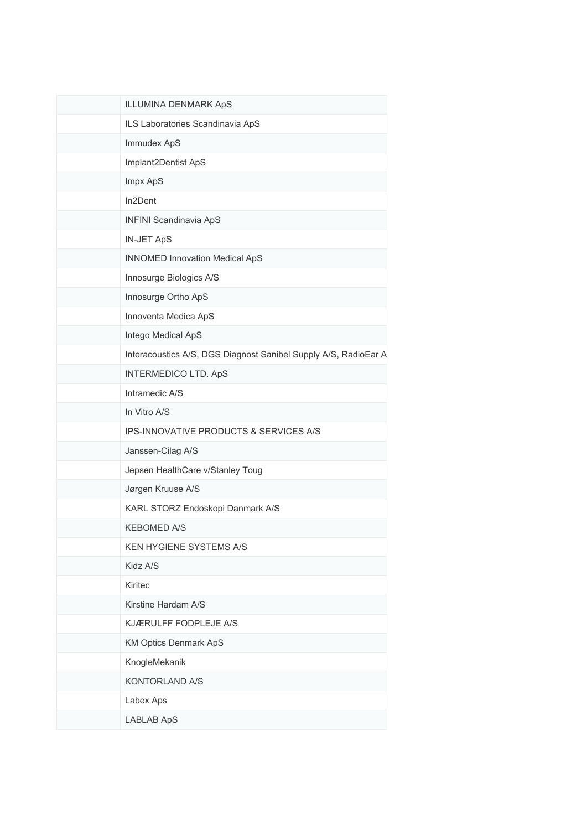| ILLUMINA DENMARK ApS                                            |
|-----------------------------------------------------------------|
| ILS Laboratories Scandinavia ApS                                |
| Immudex ApS                                                     |
| Implant2Dentist ApS                                             |
| Impx ApS                                                        |
| In2Dent                                                         |
| <b>INFINI Scandinavia ApS</b>                                   |
| <b>IN-JET ApS</b>                                               |
| <b>INNOMED Innovation Medical ApS</b>                           |
| Innosurge Biologics A/S                                         |
| Innosurge Ortho ApS                                             |
| Innoventa Medica ApS                                            |
| Intego Medical ApS                                              |
| Interacoustics A/S, DGS Diagnost Sanibel Supply A/S, RadioEar A |
| <b>INTERMEDICO LTD. ApS</b>                                     |
| Intramedic A/S                                                  |
| In Vitro A/S                                                    |
| IPS-INNOVATIVE PRODUCTS & SERVICES A/S                          |
| Janssen-Cilag A/S                                               |
| Jepsen HealthCare v/Stanley Toug                                |
| Jørgen Kruuse A/S                                               |
| KARL STORZ Endoskopi Danmark A/S                                |
| <b>KEBOMED A/S</b>                                              |
| KEN HYGIENE SYSTEMS A/S                                         |
| Kidz A/S                                                        |
| Kiritec                                                         |
| Kirstine Hardam A/S                                             |
| KJÆRULFF FODPLEJE A/S                                           |
| <b>KM Optics Denmark ApS</b>                                    |
| KnogleMekanik                                                   |
| KONTORLAND A/S                                                  |
| Labex Aps                                                       |
| <b>LABLAB ApS</b>                                               |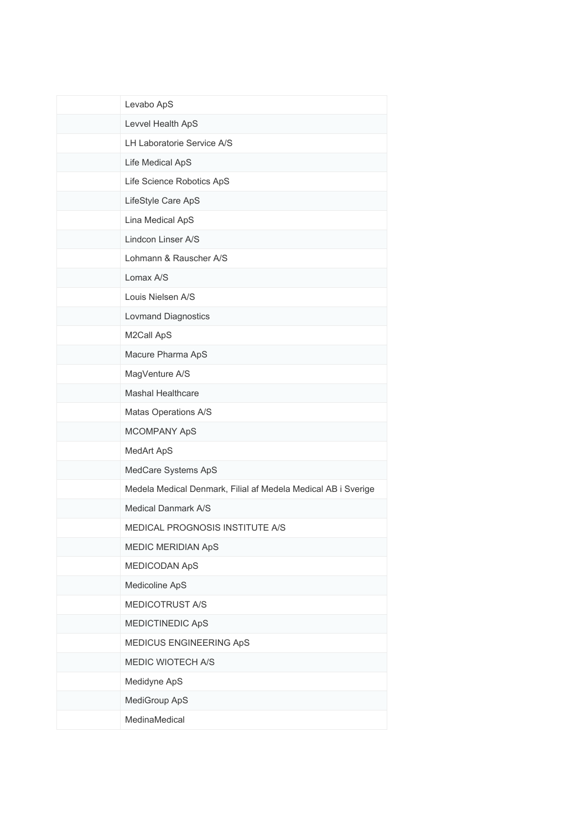| Levabo ApS                                                    |
|---------------------------------------------------------------|
| Levvel Health ApS                                             |
| LH Laboratorie Service A/S                                    |
| Life Medical ApS                                              |
| Life Science Robotics ApS                                     |
| LifeStyle Care ApS                                            |
| Lina Medical ApS                                              |
| Lindcon Linser A/S                                            |
| Lohmann & Rauscher A/S                                        |
| Lomax A/S                                                     |
| Louis Nielsen A/S                                             |
| <b>Lovmand Diagnostics</b>                                    |
| M2Call ApS                                                    |
| Macure Pharma ApS                                             |
| MagVenture A/S                                                |
| <b>Mashal Healthcare</b>                                      |
| Matas Operations A/S                                          |
| MCOMPANY ApS                                                  |
| MedArt ApS                                                    |
| MedCare Systems ApS                                           |
| Medela Medical Denmark, Filial af Medela Medical AB i Sverige |
| <b>Medical Danmark A/S</b>                                    |
| MEDICAL PROGNOSIS INSTITUTE A/S                               |
| <b>MEDIC MERIDIAN ApS</b>                                     |
| MEDICODAN ApS                                                 |
| Medicoline ApS                                                |
| MEDICOTRUST A/S                                               |
| MEDICTINEDIC ApS                                              |
| MEDICUS ENGINEERING ApS                                       |
| MEDIC WIOTECH A/S                                             |
| Medidyne ApS                                                  |
| MediGroup ApS                                                 |
| MedinaMedical                                                 |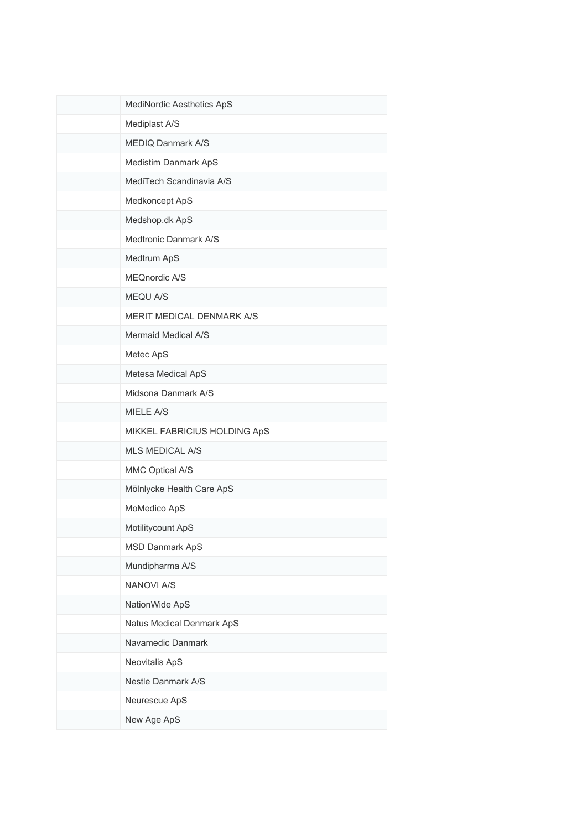| MediNordic Aesthetics ApS        |
|----------------------------------|
| Mediplast A/S                    |
| <b>MEDIQ Danmark A/S</b>         |
| Medistim Danmark ApS             |
| MediTech Scandinavia A/S         |
| Medkoncept ApS                   |
| Medshop.dk ApS                   |
| Medtronic Danmark A/S            |
| Medtrum ApS                      |
| MEQnordic A/S                    |
| MEQU A/S                         |
| <b>MERIT MEDICAL DENMARK A/S</b> |
| Mermaid Medical A/S              |
| Metec ApS                        |
| Metesa Medical ApS               |
| Midsona Danmark A/S              |
| <b>MIELE A/S</b>                 |
| MIKKEL FABRICIUS HOLDING ApS     |
| <b>MLS MEDICAL A/S</b>           |
| MMC Optical A/S                  |
| Mölnlycke Health Care ApS        |
| MoMedico ApS                     |
| Motilitycount ApS                |
| <b>MSD Danmark ApS</b>           |
| Mundipharma A/S                  |
| <b>NANOVI A/S</b>                |
| NationWide ApS                   |
| Natus Medical Denmark ApS        |
| Navamedic Danmark                |
| Neovitalis ApS                   |
| Nestle Danmark A/S               |
| Neurescue ApS                    |
| New Age ApS                      |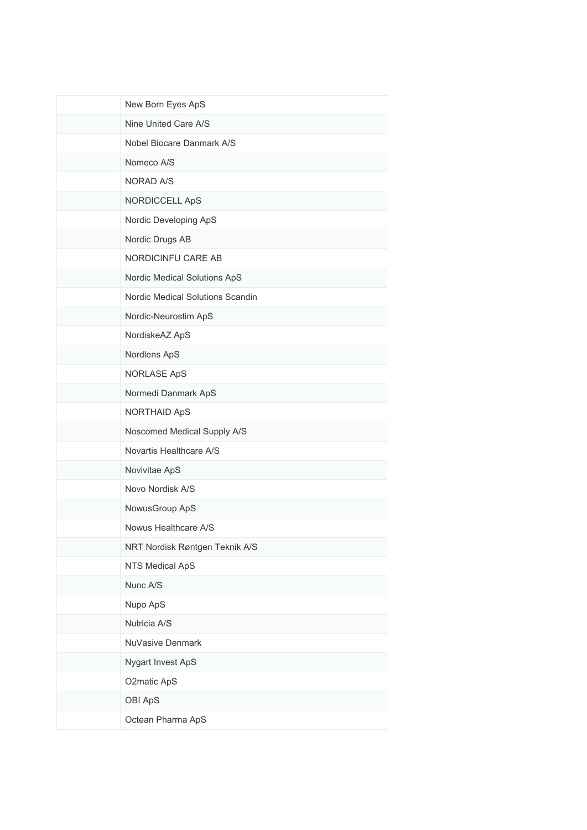| New Born Eyes ApS                |
|----------------------------------|
| Nine United Care A/S             |
| Nobel Biocare Danmark A/S        |
| Nomeco A/S                       |
| <b>NORAD A/S</b>                 |
| NORDICCELL ApS                   |
| Nordic Developing ApS            |
| Nordic Drugs AB                  |
| NORDICINFU CARE AB               |
| Nordic Medical Solutions ApS     |
| Nordic Medical Solutions Scandin |
| Nordic-Neurostim ApS             |
| NordiskeAZ ApS                   |
| Nordlens ApS                     |
| <b>NORLASE ApS</b>               |
| Normedi Danmark ApS              |
| NORTHAID ApS                     |
| Noscomed Medical Supply A/S      |
| Novartis Healthcare A/S          |
| Novivitae ApS                    |
| Novo Nordisk A/S                 |
| NowusGroup ApS                   |
| Nowus Healthcare A/S             |
| NRT Nordisk Røntgen Teknik A/S   |
| NTS Medical ApS                  |
| Nunc A/S                         |
| Nupo ApS                         |
| Nutricia A/S                     |
| NuVasive Denmark                 |
| Nygart Invest ApS                |
| O2matic ApS                      |
| OBI ApS                          |
| Octean Pharma ApS                |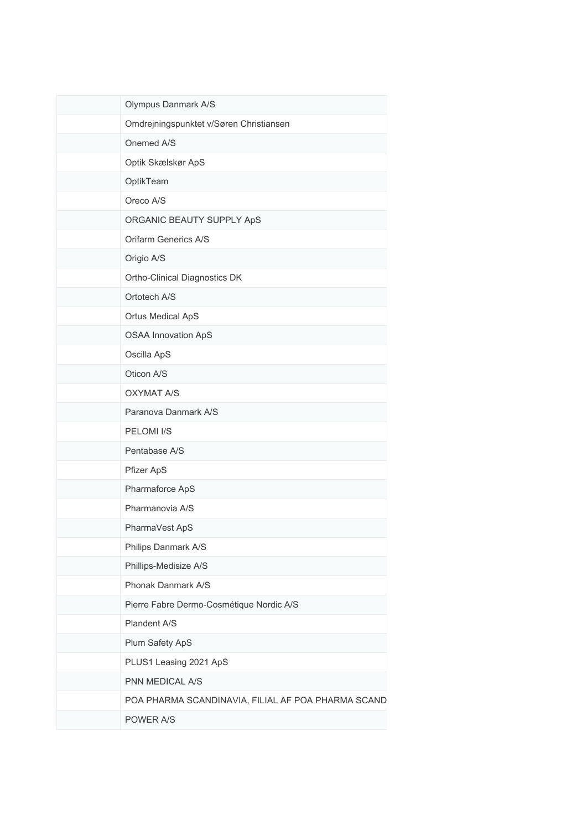| Olympus Danmark A/S                                |
|----------------------------------------------------|
| Omdrejningspunktet v/Søren Christiansen            |
| Onemed A/S                                         |
| Optik Skælskør ApS                                 |
| OptikTeam                                          |
| Oreco A/S                                          |
| ORGANIC BEAUTY SUPPLY ApS                          |
| Orifarm Generics A/S                               |
| Origio A/S                                         |
| Ortho-Clinical Diagnostics DK                      |
| Ortotech A/S                                       |
| <b>Ortus Medical ApS</b>                           |
| <b>OSAA Innovation ApS</b>                         |
| Oscilla ApS                                        |
| Oticon A/S                                         |
| <b>OXYMAT A/S</b>                                  |
| Paranova Danmark A/S                               |
| PELOMI I/S                                         |
| Pentabase A/S                                      |
| Pfizer ApS                                         |
| Pharmaforce ApS                                    |
| Pharmanovia A/S                                    |
| PharmaVest ApS                                     |
| Philips Danmark A/S                                |
| Phillips-Medisize A/S                              |
| Phonak Danmark A/S                                 |
| Pierre Fabre Dermo-Cosmétique Nordic A/S           |
| Plandent A/S                                       |
| Plum Safety ApS                                    |
| PLUS1 Leasing 2021 ApS                             |
| PNN MEDICAL A/S                                    |
| POA PHARMA SCANDINAVIA, FILIAL AF POA PHARMA SCAND |
| POWER A/S                                          |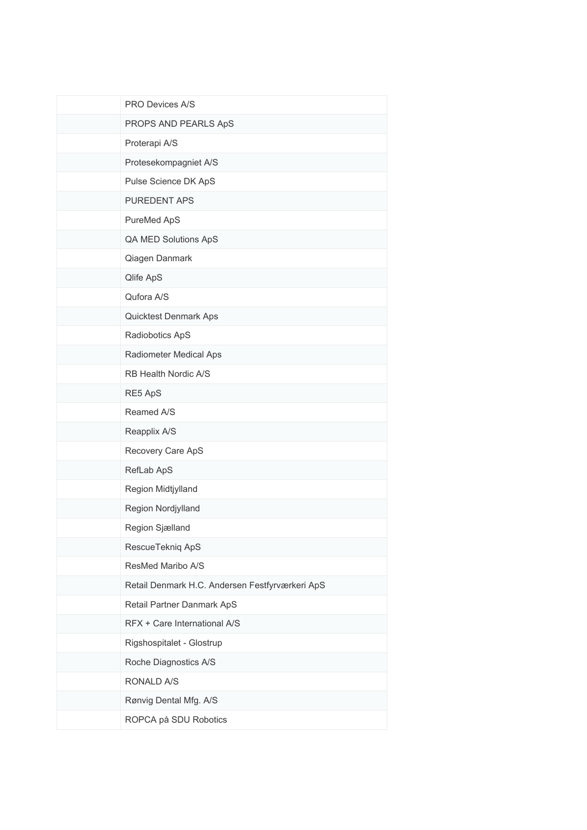| PRO Devices A/S                                 |
|-------------------------------------------------|
| PROPS AND PEARLS ApS                            |
| Proterapi A/S                                   |
| Protesekompagniet A/S                           |
| Pulse Science DK ApS                            |
| PUREDENT APS                                    |
| PureMed ApS                                     |
| QA MED Solutions ApS                            |
| Qiagen Danmark                                  |
| Qlife ApS                                       |
| Qufora A/S                                      |
| <b>Quicktest Denmark Aps</b>                    |
| Radiobotics ApS                                 |
| Radiometer Medical Aps                          |
| RB Health Nordic A/S                            |
| RE5 ApS                                         |
| Reamed A/S                                      |
| Reapplix A/S                                    |
| Recovery Care ApS                               |
| RefLab ApS                                      |
| Region Midtjylland                              |
| Region Nordjylland                              |
| Region Sjælland                                 |
| RescueTekniq ApS                                |
| ResMed Maribo A/S                               |
| Retail Denmark H.C. Andersen Festfyrværkeri ApS |
| Retail Partner Danmark ApS                      |
| RFX + Care International A/S                    |
| Rigshospitalet - Glostrup                       |
| Roche Diagnostics A/S                           |
| RONALD A/S                                      |
| Rønvig Dental Mfg. A/S                          |
| ROPCA på SDU Robotics                           |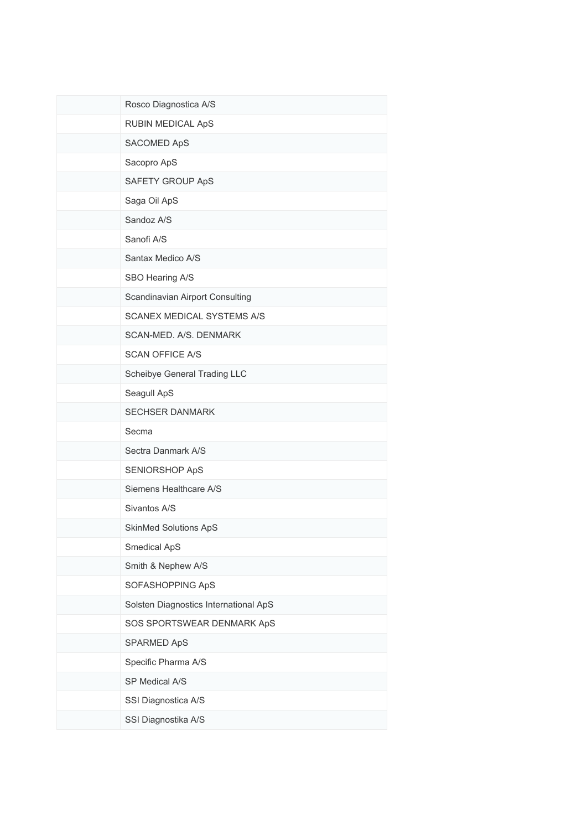| Rosco Diagnostica A/S                 |
|---------------------------------------|
| RUBIN MEDICAL ApS                     |
| SACOMED ApS                           |
| Sacopro ApS                           |
| SAFETY GROUP ApS                      |
| Saga Oil ApS                          |
| Sandoz A/S                            |
| Sanofi A/S                            |
| Santax Medico A/S                     |
| SBO Hearing A/S                       |
| Scandinavian Airport Consulting       |
| SCANEX MEDICAL SYSTEMS A/S            |
| SCAN-MED. A/S. DENMARK                |
| <b>SCAN OFFICE A/S</b>                |
| Scheibye General Trading LLC          |
| Seagull ApS                           |
| <b>SECHSER DANMARK</b>                |
| Secma                                 |
| Sectra Danmark A/S                    |
| SENIORSHOP ApS                        |
| Siemens Healthcare A/S                |
| Sivantos A/S                          |
| <b>SkinMed Solutions ApS</b>          |
| Smedical ApS                          |
| Smith & Nephew A/S                    |
| SOFASHOPPING ApS                      |
| Solsten Diagnostics International ApS |
| SOS SPORTSWEAR DENMARK ApS            |
| SPARMED ApS                           |
| Specific Pharma A/S                   |
| SP Medical A/S                        |
| SSI Diagnostica A/S                   |
| SSI Diagnostika A/S                   |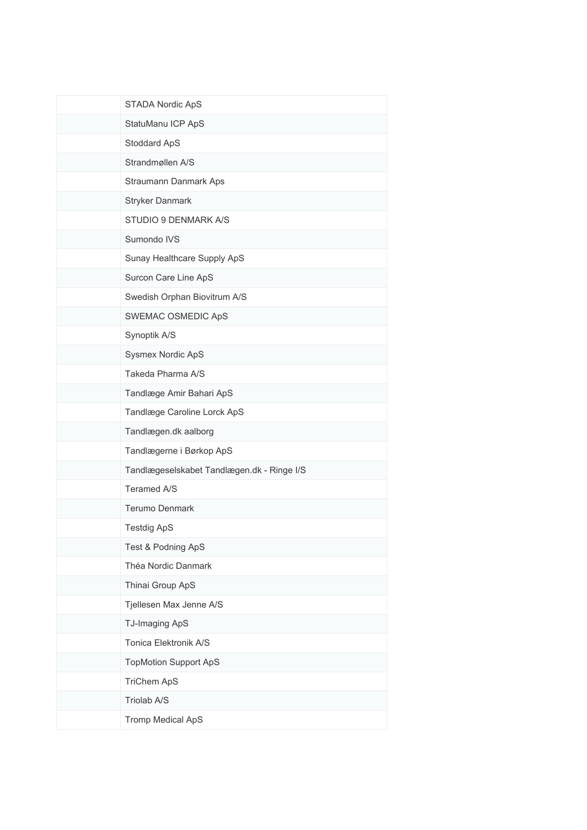| STADA Nordic ApS                           |
|--------------------------------------------|
| StatuManu ICP ApS                          |
| Stoddard ApS                               |
| Strandmøllen A/S                           |
| Straumann Danmark Aps                      |
| <b>Stryker Danmark</b>                     |
| STUDIO 9 DENMARK A/S                       |
| Sumondo IVS                                |
| Sunay Healthcare Supply ApS                |
| Surcon Care Line ApS                       |
| Swedish Orphan Biovitrum A/S               |
| SWEMAC OSMEDIC ApS                         |
| Synoptik A/S                               |
| Sysmex Nordic ApS                          |
| Takeda Pharma A/S                          |
| Tandlæge Amir Bahari ApS                   |
| Tandlæge Caroline Lorck ApS                |
| Tandlægen.dk aalborg                       |
| Tandlægerne i Børkop ApS                   |
| Tandlægeselskabet Tandlægen.dk - Ringe I/S |
| Teramed A/S                                |
| Terumo Denmark                             |
| <b>Testdig ApS</b>                         |
| Test & Podning ApS                         |
| Théa Nordic Danmark                        |
| Thinai Group ApS                           |
| Tjellesen Max Jenne A/S                    |
| TJ-Imaging ApS                             |
| Tonica Elektronik A/S                      |
| <b>TopMotion Support ApS</b>               |
| <b>TriChem ApS</b>                         |
| Triolab A/S                                |
| <b>Tromp Medical ApS</b>                   |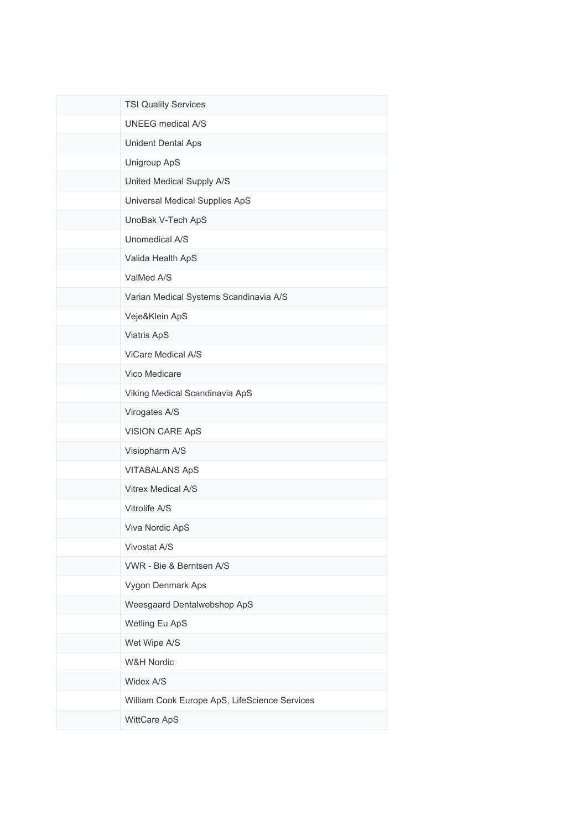| <b>TSI Quality Services</b>                   |
|-----------------------------------------------|
| <b>UNEEG</b> medical A/S                      |
| Unident Dental Aps                            |
| Unigroup ApS                                  |
| United Medical Supply A/S                     |
| Universal Medical Supplies ApS                |
| UnoBak V-Tech ApS                             |
| Unomedical A/S                                |
| Valida Health ApS                             |
| ValMed A/S                                    |
| Varian Medical Systems Scandinavia A/S        |
| Veje&Klein ApS                                |
| Viatris ApS                                   |
| ViCare Medical A/S                            |
| Vico Medicare                                 |
| Viking Medical Scandinavia ApS                |
| Virogates A/S                                 |
| <b>VISION CARE ApS</b>                        |
| Visiopharm A/S                                |
| <b>VITABALANS ApS</b>                         |
| Vitrex Medical A/S                            |
| Vitrolife A/S                                 |
| Viva Nordic ApS                               |
| Vivostat A/S                                  |
| VWR - Bie & Berntsen A/S                      |
| Vygon Denmark Aps                             |
| Weesgaard Dentalwebshop ApS                   |
| Wetling Eu ApS                                |
| Wet Wipe A/S                                  |
| <b>W&amp;H Nordic</b>                         |
| Widex A/S                                     |
| William Cook Europe ApS, LifeScience Services |
| WittCare ApS                                  |